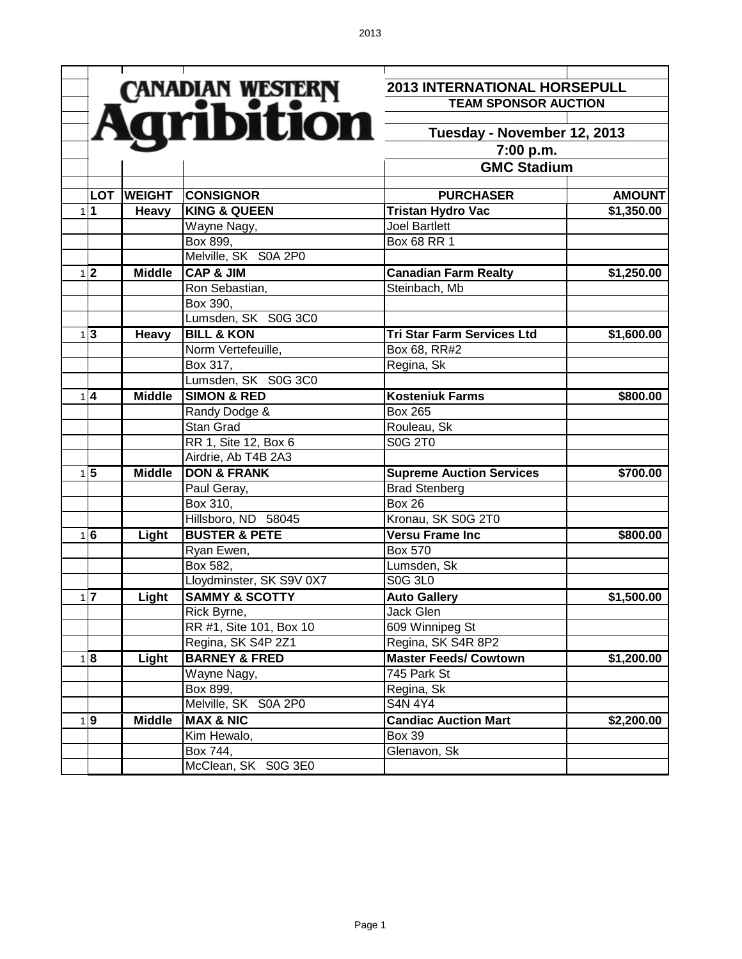|                 |               |                           | <b>2013 INTERNATIONAL HORSEPULL</b> |               |
|-----------------|---------------|---------------------------|-------------------------------------|---------------|
|                 |               | CANADIAN WESTERN          | <b>TEAM SPONSOR AUCTION</b>         |               |
|                 |               |                           |                                     |               |
|                 |               |                           | Tuesday - November 12, 2013         |               |
|                 |               |                           | 7:00 p.m.                           |               |
|                 |               |                           | <b>GMC Stadium</b>                  |               |
|                 |               |                           |                                     |               |
| <b>LOT</b>      | <b>WEIGHT</b> | <b>CONSIGNOR</b>          | <b>PURCHASER</b>                    | <b>AMOUNT</b> |
| 111             | Heavy         | <b>KING &amp; QUEEN</b>   | <b>Tristan Hydro Vac</b>            | \$1,350.00    |
|                 |               | Wayne Nagy,               | <b>Joel Bartlett</b>                |               |
|                 |               | Box 899,                  | Box 68 RR 1                         |               |
|                 |               | Melville, SK S0A 2P0      |                                     |               |
| $1\overline{2}$ | <b>Middle</b> | <b>CAP &amp; JIM</b>      | <b>Canadian Farm Realty</b>         | \$1,250.00    |
|                 |               | Ron Sebastian,            | Steinbach, Mb                       |               |
|                 |               | Box 390,                  |                                     |               |
|                 |               | Lumsden, SK S0G 3C0       |                                     |               |
| $1\overline{3}$ | Heavy         | <b>BILL &amp; KON</b>     | <b>Tri Star Farm Services Ltd</b>   | \$1,600.00    |
|                 |               | Norm Vertefeuille,        | Box 68, RR#2                        |               |
|                 |               | Box 317,                  | Regina, Sk                          |               |
|                 |               | Lumsden, SK S0G 3C0       |                                     |               |
| $1\vert 4$      | <b>Middle</b> | <b>SIMON &amp; RED</b>    | <b>Kosteniuk Farms</b>              | \$800.00      |
|                 |               | Randy Dodge &             | <b>Box 265</b>                      |               |
|                 |               | Stan Grad                 | Rouleau, Sk                         |               |
|                 |               | RR 1, Site 12, Box 6      | S0G 2T0                             |               |
|                 |               | Airdrie, Ab T4B 2A3       |                                     |               |
| $1\vert 5$      | <b>Middle</b> | <b>DON &amp; FRANK</b>    | <b>Supreme Auction Services</b>     | \$700.00      |
|                 |               | Paul Geray,               | <b>Brad Stenberg</b>                |               |
|                 |               | Box 310,                  | $\overline{Box}$ 26                 |               |
|                 |               | Hillsboro, ND 58045       | Kronau, SK S0G 2T0                  |               |
| 1 6             | Light         | <b>BUSTER &amp; PETE</b>  | <b>Versu Frame Inc</b>              | \$800.00      |
|                 |               | Ryan Ewen,                | <b>Box 570</b>                      |               |
|                 |               | Box 582,                  | Lumsden, Sk                         |               |
|                 |               | Lloydminster, SK S9V 0X7  | <b>S0G 3L0</b>                      |               |
| $1\overline{7}$ | Light         | <b>SAMMY &amp; SCOTTY</b> | <b>Auto Gallery</b>                 | \$1,500.00    |
|                 |               | Rick Byrne,               | Jack Glen                           |               |
|                 |               | RR #1, Site 101, Box 10   | 609 Winnipeg St                     |               |
|                 |               | Regina, SK S4P 2Z1        | Regina, SK S4R 8P2                  |               |
| 1 8             | Light         | <b>BARNEY &amp; FRED</b>  | <b>Master Feeds/ Cowtown</b>        | \$1,200.00    |
|                 |               | Wayne Nagy,               | 745 Park St                         |               |
|                 |               | Box 899,                  | Regina, Sk                          |               |
|                 |               | Melville, SK S0A 2P0      | <b>S4N 4Y4</b>                      |               |
| 1 9             | <b>Middle</b> | <b>MAX &amp; NIC</b>      | <b>Candiac Auction Mart</b>         | \$2,200.00    |
|                 |               | Kim Hewalo,               | <b>Box 39</b>                       |               |
|                 |               | Box 744,                  | Glenavon, Sk                        |               |
|                 |               | McClean, SK S0G 3E0       |                                     |               |
|                 |               |                           |                                     |               |

Page 1